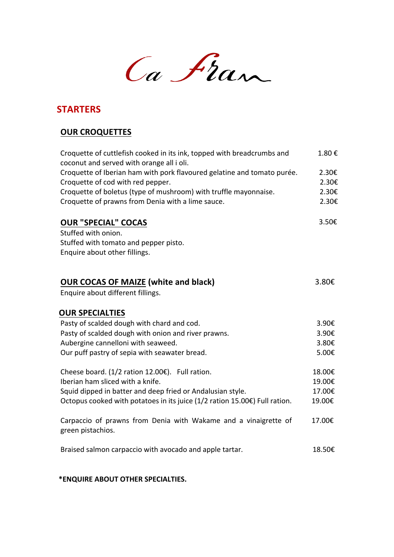Ca Fran

#### **STARTERS**

#### **OUR CROQUETTES**

| Croquette of cuttlefish cooked in its ink, topped with breadcrumbs and<br>coconut and served with orange all i oli. | 1.80€  |
|---------------------------------------------------------------------------------------------------------------------|--------|
| Croquette of Iberian ham with pork flavoured gelatine and tomato purée.                                             | 2.30€  |
| Croquette of cod with red pepper.                                                                                   | 2.30€  |
| Croquette of boletus (type of mushroom) with truffle mayonnaise.                                                    | 2.30€  |
| Croquette of prawns from Denia with a lime sauce.                                                                   | 2.30€  |
| <b>OUR "SPECIAL" COCAS</b>                                                                                          | 3.50€  |
| Stuffed with onion.                                                                                                 |        |
| Stuffed with tomato and pepper pisto.                                                                               |        |
| Enquire about other fillings.                                                                                       |        |
|                                                                                                                     |        |
| <b>OUR COCAS OF MAIZE (white and black)</b>                                                                         | 3.80€  |
| Enquire about different fillings.                                                                                   |        |
| <b>OUR SPECIALTIES</b>                                                                                              |        |
| Pasty of scalded dough with chard and cod.                                                                          | 3.90€  |
| Pasty of scalded dough with onion and river prawns.                                                                 | 3.90€  |
| Aubergine cannelloni with seaweed.                                                                                  | 3.80€  |
| Our puff pastry of sepia with seawater bread.                                                                       | 5.00€  |
| Cheese board. (1/2 ration 12.00€). Full ration.                                                                     | 18.00€ |
| Iberian ham sliced with a knife.                                                                                    | 19.00€ |
| Squid dipped in batter and deep fried or Andalusian style.                                                          | 17.00€ |
| Octopus cooked with potatoes in its juice (1/2 ration 15.00€) Full ration.                                          | 19.00€ |
|                                                                                                                     |        |
| Carpaccio of prawns from Denia with Wakame and a vinaigrette of<br>green pistachios.                                | 17.00€ |
| Braised salmon carpaccio with avocado and apple tartar.                                                             | 18.50€ |

#### **\*ENQUIRE ABOUT OTHER SPECIALTIES.**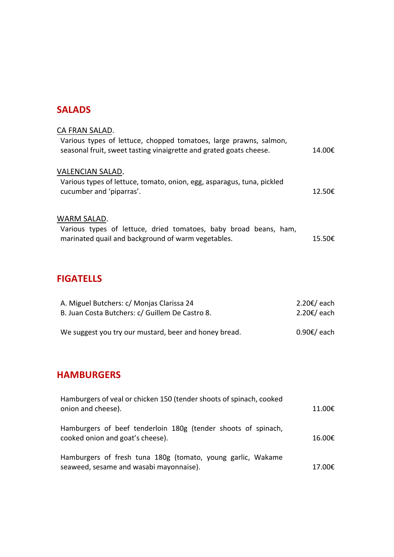#### **SALADS**

| CA FRAN SALAD.                                                                                                                          |                  |
|-----------------------------------------------------------------------------------------------------------------------------------------|------------------|
| Various types of lettuce, chopped tomatoes, large prawns, salmon,<br>seasonal fruit, sweet tasting vinaigrette and grated goats cheese. | 14.00€           |
| VALENCIAN SALAD.<br>Various types of lettuce, tomato, onion, egg, asparagus, tuna, pickled                                              |                  |
| cucumber and 'piparras'.                                                                                                                | 12.50 $\epsilon$ |
| WARM SALAD.                                                                                                                             |                  |
| Various types of lettuce, dried tomatoes, baby broad beans, ham,<br>marinated quail and background of warm vegetables.                  | 15.50€           |

## **FIGATELLS**

| A. Miguel Butchers: c/ Monjas Clarissa 24             | 2.20€/ each |
|-------------------------------------------------------|-------------|
| B. Juan Costa Butchers: c/ Guillem De Castro 8.       | 2.20€/ each |
|                                                       |             |
| We suggest you try our mustard, beer and honey bread. | 0.90€/ each |

# **HAMBURGERS**

| Hamburgers of veal or chicken 150 (tender shoots of spinach, cooked<br>onion and cheese).              | 11.00€ |
|--------------------------------------------------------------------------------------------------------|--------|
| Hamburgers of beef tenderloin 180g (tender shoots of spinach,<br>cooked onion and goat's cheese).      | 16.00€ |
| Hamburgers of fresh tuna 180g (tomato, young garlic, Wakame<br>seaweed, sesame and wasabi mayonnaise). | 17.00€ |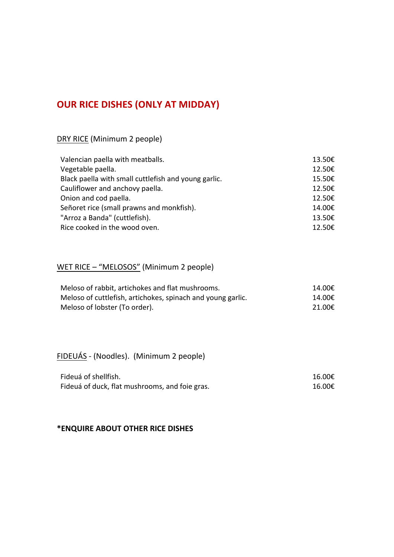## **OUR RICE DISHES (ONLY AT MIDDAY)**

#### DRY RICE (Minimum 2 people)

| Valencian paella with meatballs.                     | 13.50€ |
|------------------------------------------------------|--------|
| Vegetable paella.                                    | 12.50€ |
| Black paella with small cuttlefish and young garlic. | 15.50€ |
| Cauliflower and anchovy paella.                      | 12.50€ |
| Onion and cod paella.                                | 12.50€ |
| Señoret rice (small prawns and monkfish).            | 14.00€ |
| "Arroz a Banda" (cuttlefish).                        | 13.50€ |
| Rice cooked in the wood oven.                        | 12.50€ |

## WET RICE - "MELOSOS" (Minimum 2 people)

| Meloso of rabbit, artichokes and flat mushrooms.            | 14.00€ |
|-------------------------------------------------------------|--------|
| Meloso of cuttlefish, artichokes, spinach and young garlic. | 14.00€ |
| Meloso of lobster (To order).                               | 21.00€ |

## FIDEUÁS - (Noodles). (Minimum 2 people)

| Fideuá of shellfish.                           | 16.00€ |
|------------------------------------------------|--------|
| Fideuá of duck, flat mushrooms, and foie gras. | 16.00€ |

#### **\*ENQUIRE ABOUT OTHER RICE DISHES**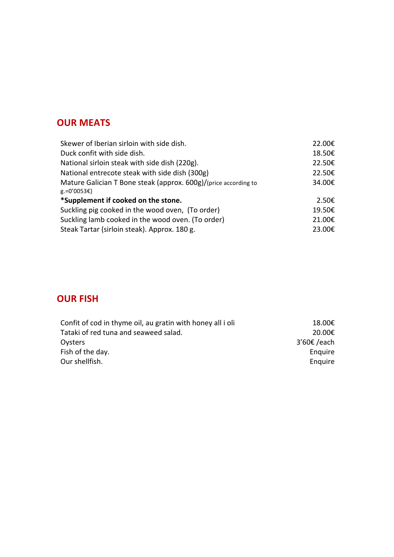## **OUR MEATS**

| Skewer of Iberian sirloin with side dish.                                                | 22.00€ |
|------------------------------------------------------------------------------------------|--------|
| Duck confit with side dish.                                                              | 18.50€ |
| National sirloin steak with side dish (220g).                                            | 22.50€ |
| National entrecote steak with side dish (300g)                                           | 22.50€ |
| Mature Galician T Bone steak (approx. 600g)/(price according to<br>$g = 0'0053 \epsilon$ | 34.00€ |
| *Supplement if cooked on the stone.                                                      | 2.50€  |
| Suckling pig cooked in the wood oven, (To order)                                         | 19.50€ |
| Suckling lamb cooked in the wood oven. (To order)                                        | 21.00€ |
| Steak Tartar (sirloin steak). Approx. 180 g.                                             | 23.00€ |

### **OUR FISH**

| Confit of cod in thyme oil, au gratin with honey all i oli | 18.00€        |
|------------------------------------------------------------|---------------|
| Tataki of red tuna and seaweed salad.                      | 20.00€        |
| Ovsters                                                    | $3'60€$ /each |
| Fish of the day.                                           | Enguire       |
| Our shellfish.                                             | Enguire       |